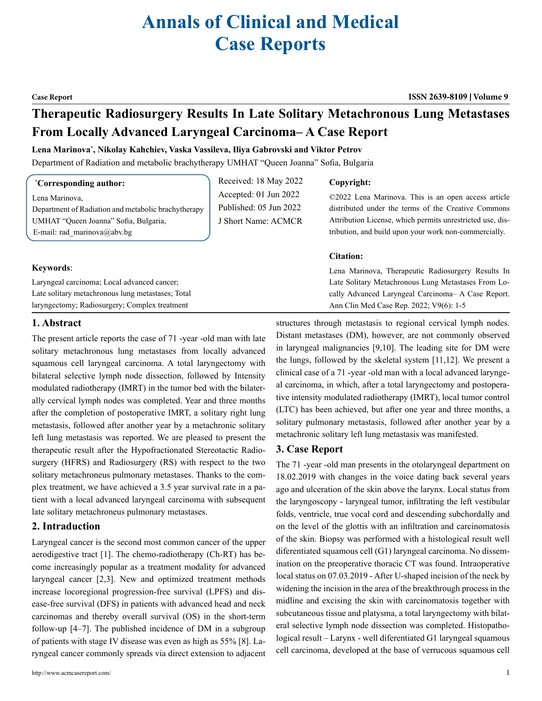# **Annals of Clinical and Medical Case Reports**

**Case Report ISSN 2639-8109 Volume 9**

## **Therapeutic Radiosurgery Results In Late Solitary Metachronous Lung Metastases From Locally Advanced Laryngeal Carcinoma– A Case Report**

#### **Lena Marinova\* , Nikolay Kahchiev, Vaska Vassileva, Iliya Gabrovski and Viktor Petrov**

Department of Radiation and metabolic brachytherapy UMHAT "Queen Joanna" Sofia, Bulgaria

Lena Marinova, Department of Radiation and metabolic brachytherapy UMHAT "Queen Joanna" Sofia, Bulgaria, E-mail: rad\_marinova@abv.bg

Received: 18 May 2022 Accepted: 01 Jun 2022 Published: 05 Jun 2022 J Short Name: ACMCR

#### **Copyright:**

©2022 Lena Marinova. This is an open access article distributed under the terms of the Creative Commons Attribution License, which permits unrestricted use, distribution, and build upon your work non-commercially.

#### **Citation:**

| Laryngeal carcinoma; Local advanced cancer;       | Lena Marinova, Therapeutic Radiosurgery Results In  |
|---------------------------------------------------|-----------------------------------------------------|
|                                                   | Late Solitary Metachronous Lung Metastases From Lo- |
| Late solitary metachronous lung metastases; Total | cally Advanced Laryngeal Carcinoma- A Case Report.  |
| laryngectomy; Radiosurgery; Complex treatment     | Ann Clin Med Case Rep. 2022; V9(6): 1-5             |

### **1. Abstract**

The present article reports the case of 71 -year -old man with late solitary metachronous lung metastases from locally advanced squamous cell laryngeal carcinoma. A total laryngectomy with bilateral selective lymph node dissection, followed by Intensity modulated radiotherapy (IMRT) in the tumor bed with the bilaterally cervical lymph nodes was completed. Year and three months after the completion of postoperative IMRT, a solitary right lung metastasis, followed after another year by a metachronic solitary left lung metastasis was reported. We are pleased to present the therapeutic result after the Hypofractionated Stereotactic Radiosurgery (HFRS) and Radiosurgery (RS) with respect to the two solitary metachroneus pulmonary metastases. Thanks to the complex treatment, we have achieved a 3.5 year survival rate in a patient with a local advanced laryngeal carcinoma with subsequent late solitary metachroneus pulmonary metastases.

#### **2. Intraduction**

Laryngeal cancer is the second most common cancer of the upper aerodigestive tract [1]. The chemo-radiotherapy (Ch-RT) has become increasingly popular as a treatment modality for advanced laryngeal cancer [2,3]. New and optimized treatment methods increase locoregional progression-free survival (LPFS) and disease-free survival (DFS) in patients with advanced head and neck carcinomas and thereby overall survival (OS) in the short-term follow-up [4–7]. The published incidence of DM in a subgroup of patients with stage IV disease was even as high as 55% [8]. Laryngeal cancer commonly spreads via direct extension to adjacent

structures through metastasis to regional cervical lymph nodes. Distant metastases (DM), however, are not commonly observed in laryngeal malignancies [9,10]. The leading site for DM were the lungs, followed by the skeletal system [11,12]. We present a clinical case of a 71 -year -old man with a local advanced laryngeal carcinoma, in which, after a total laryngectomy and postoperative intensity modulated radiotherapy (IMRT), local tumor control (LTC) has been achieved, but after one year and three months, a solitary pulmonary metastasis, followed after another year by a metachronic solitary left lung metastasis was manifested.

#### **3. Case Report**

The 71 -year -old man presents in the otolaryngeal department on 18.02.2019 with changes in the voice dating back several years ago and ulceration of the skin above the larynx. Local status from the laryngoscopy - laryngeal tumor, infiltrating the left vestibular folds, ventricle, true vocal cord and descending subchordally and on the level of the glottis with an infiltration and carcinomatosis of the skin. Biopsy was performed with a histological result well diferentiated squamous cell (G1) laryngeal carcinoma. No dissemination on the preoperative thoracic CT was found. Intraoperative local status on 07.03.2019 - After U-shaped incision of the neck by widening the incision in the area of the breakthrough process in the midline and excising the skin with carcinomatosis together with subcutaneous tissue and platysma, a total laryngectomy with bilateral selective lymph node dissection was completed. Histopathological result – Larynx - well diferentiated G1 laryngeal squamous cell carcinoma, developed at the base of verrucous squamous cell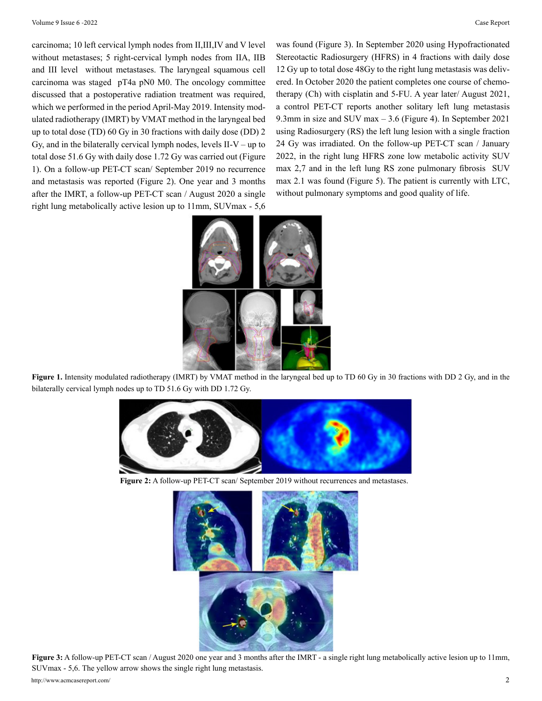carcinoma; 10 left cervical lymph nodes from II,III,IV and V level without metastases; 5 right-cervical lymph nodes from IIA, IIB and III level without metastases. The laryngeal squamous cell carcinoma was staged pT4a pN0 M0. The oncology committee discussed that a postoperative radiation treatment was required, which we performed in the period April-May 2019. Intensity modulated radiotherapy (IMRT) by VMAT method in the laryngeal bed up to total dose (TD) 60 Gy in 30 fractions with daily dose (DD) 2 Gy, and in the bilaterally cervical lymph nodes, levels  $II-V$  – up to total dose 51.6 Gy with daily dose 1.72 Gy was carried out (Figure 1). On a follow-up PET-CT scan/ September 2019 no recurrence and metastasis was reported (Figure 2). One year and 3 months after the IMRT, a follow-up PET-CT scan / August 2020 a single right lung metabolically active lesion up to 11mm, SUVmax - 5,6

was found (Figure 3). In September 2020 using Hypofractionated Stereotactic Radiosurgery (HFRS) in 4 fractions with daily dose 12 Gy up to total dose 48Gy to the right lung metastasis was delivered. In October 2020 the patient completes one course of chemotherapy (Ch) with cisplatin and 5-FU. A year later/ August 2021, a control PET-CT reports another solitary left lung metastasis 9.3mm in size and SUV max – 3.6 (Figure 4). In September 2021 using Radiosurgery (RS) the left lung lesion with a single fraction 24 Gy was irradiated. On the follow-up PET-CT scan / January 2022, in the right lung HFRS zone low metabolic activity SUV max 2,7 and in the left lung RS zone pulmonary fibrosis SUV max 2.1 was found (Figure 5). The patient is currently with LTC, without pulmonary symptoms and good quality of life.



**Figure 1.** Intensity modulated radiotherapy (IMRT) by VMAT method in the laryngeal bed up to TD 60 Gy in 30 fractions with DD 2 Gy, and in the bilaterally cervical lymph nodes up to TD 51.6 Gy with DD 1.72 Gy.



**Figure 2:** A follow-up PET-CT scan/ September 2019 without recurrences and metastases.



http://www.acmcasereport.com/ 2 **Figure 3:** A follow-up PET-CT scan / August 2020 one year and 3 months after the IMRT - a single right lung metabolically active lesion up to 11mm, SUVmax - 5,6. The yellow arrow shows the single right lung metastasis.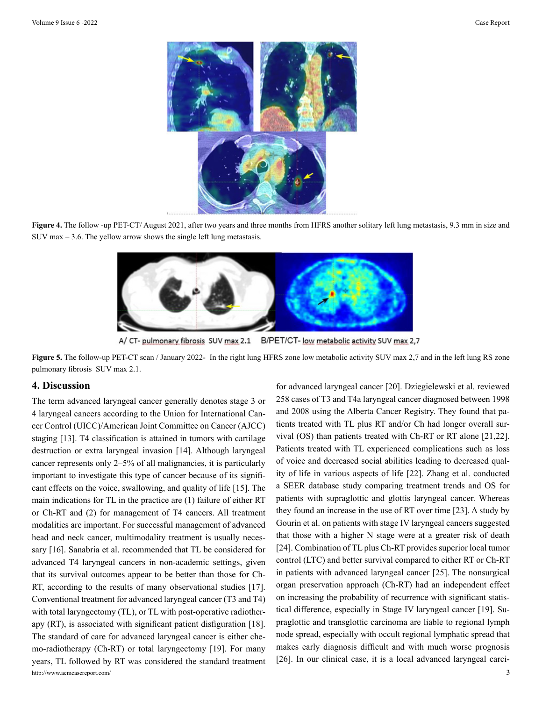

**Figure 4.** The follow -up PET-CT/ August 2021, after two years and three months from HFRS another solitary left lung metastasis, 9.3 mm in size and SUV max – 3.6. The yellow arrow shows the single left lung metastasis.



A/ CT- pulmonary fibrosis SUV max 2.1 B/PET/CT- low metabolic activity SUV max 2,7

**Figure 5.** The follow-up PET-CT scan / January 2022- In the right lung HFRS zone low metabolic activity SUV max 2,7 and in the left lung RS zone pulmonary fibrosis SUV max 2.1.

#### **4. Discussion**

http://www.acmcasereport.com/ 3 The term advanced laryngeal cancer generally denotes stage 3 or 4 laryngeal cancers according to the Union for International Cancer Control (UICC)/American Joint Committee on Cancer (AJCC) staging [13]. T4 classification is attained in tumors with cartilage destruction or extra laryngeal invasion [14]. Although laryngeal cancer represents only 2–5% of all malignancies, it is particularly important to investigate this type of cancer because of its significant effects on the voice, swallowing, and quality of life [15]. The main indications for TL in the practice are (1) failure of either RT or Ch-RT and (2) for management of T4 cancers. All treatment modalities are important. For successful management of advanced head and neck cancer, multimodality treatment is usually necessary [16]. Sanabria et al. recommended that TL be considered for advanced T4 laryngeal cancers in non-academic settings, given that its survival outcomes appear to be better than those for Ch-RT, according to the results of many observational studies [17]. Conventional treatment for advanced laryngeal cancer (T3 and T4) with total laryngectomy (TL), or TL with post-operative radiotherapy (RT), is associated with significant patient disfiguration [18]. The standard of care for advanced laryngeal cancer is either chemo-radiotherapy (Ch-RT) or total laryngectomy [19]. For many years, TL followed by RT was considered the standard treatment

for advanced laryngeal cancer [20]. Dziegielewski et al. reviewed 258 cases of T3 and T4a laryngeal cancer diagnosed between 1998 and 2008 using the Alberta Cancer Registry. They found that patients treated with TL plus RT and/or Ch had longer overall survival (OS) than patients treated with Ch-RT or RT alone [21,22]. Patients treated with TL experienced complications such as loss of voice and decreased social abilities leading to decreased quality of life in various aspects of life [22]. Zhang et al. conducted a SEER database study comparing treatment trends and OS for patients with supraglottic and glottis laryngeal cancer. Whereas they found an increase in the use of RT over time [23]. A study by Gourin et al. on patients with stage IV laryngeal cancers suggested that those with a higher N stage were at a greater risk of death [24]. Combination of TL plus Ch-RT provides superior local tumor control (LTC) and better survival compared to either RT or Ch-RT in patients with advanced laryngeal cancer [25]. The nonsurgical organ preservation approach (Ch-RT) had an independent effect on increasing the probability of recurrence with significant statistical difference, especially in Stage IV laryngeal cancer [19]. Supraglottic and transglottic carcinoma are liable to regional lymph node spread, especially with occult regional lymphatic spread that makes early diagnosis difficult and with much worse prognosis [26]. In our clinical case, it is a local advanced laryngeal carci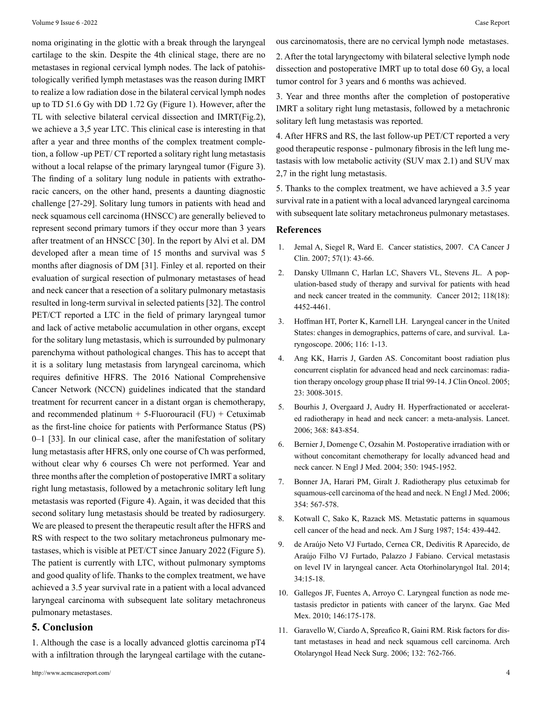noma originating in the glottic with a break through the laryngeal cartilage to the skin. Despite the 4th clinical stage, there are no metastases in regional cervical lymph nodes. The lack of patohistologically verified lymph metastases was the reason during IMRT to realize a low radiation dose in the bilateral cervical lymph nodes up to TD 51.6 Gy with DD 1.72 Gy (Figure 1). However, after the TL with selective bilateral cervical dissection and IMRT(Fig.2), we achieve a 3,5 year LTC. This clinical case is interesting in that after a year and three months of the complex treatment completion, a follow -up PET/ CT reported a solitary right lung metastasis without a local relapse of the primary laryngeal tumor (Figure 3). The finding of a solitary lung nodule in patients with extrathoracic cancers, on the other hand, presents a daunting diagnostic challenge [27-29]. Solitary lung tumors in patients with head and neck squamous cell carcinoma (HNSCC) are generally believed to represent second primary tumors if they occur more than 3 years after treatment of an HNSCC [30]. In the report by Alvi et al. DM developed after a mean time of 15 months and survival was 5 months after diagnosis of DM [31]. Finley et al. reported on their evaluation of surgical resection of pulmonary metastases of head and neck cancer that a resection of a solitary pulmonary metastasis resulted in long-term survival in selected patients [32]. The control PET/CT reported a LTC in the field of primary laryngeal tumor and lack of active metabolic accumulation in other organs, except for the solitary lung metastasis, which is surrounded by pulmonary parenchyma without pathological changes. This has to accept that it is a solitary lung metastasis from laryngeal carcinoma, which requires definitive HFRS. The 2016 National Comprehensive Cancer Network (NCCN) guidelines indicated that the standard treatment for recurrent cancer in a distant organ is chemotherapy, and recommended platinum  $+ 5$ -Fluorouracil (FU)  $+$  Cetuximab as the first-line choice for patients with Performance Status (PS) 0–1 [33]. In our clinical case, after the manifestation of solitary lung metastasis after HFRS, only one course of Ch was performed, without clear why 6 courses Ch were not performed. Year and three months after the completion of postoperative IMRT a solitary right lung metastasis, followed by a metachronic solitary left lung metastasis was reported (Figure 4). Again, it was decided that this second solitary lung metastasis should be treated by radiosurgery. We are pleased to present the therapeutic result after the HFRS and RS with respect to the two solitary metachroneus pulmonary metastases, which is visible at PET/CT since January 2022 (Figure 5). The patient is currently with LTC, without pulmonary symptoms and good quality of life. Thanks to the complex treatment, we have achieved a 3.5 year survival rate in a patient with a local advanced laryngeal carcinoma with subsequent late solitary metachroneus pulmonary metastases.

### **5. Conclusion**

1. Although the case is a locally advanced glottis carcinoma pT4 with a infiltration through the laryngeal cartilage with the cutaneous carcinomatosis, there are no cervical lymph node metastases.

2. After the total laryngectomy with bilateral selective lymph node dissection and postoperative IMRT up to total dose 60 Gy, a local tumor control for 3 years and 6 months was achieved.

3. Year and three months after the completion of postoperative IMRT a solitary right lung metastasis, followed by a metachronic solitary left lung metastasis was reported.

4. After HFRS and RS, the last follow-up PET/CT reported a very good therapeutic response - pulmonary fibrosis in the left lung metastasis with low metabolic activity (SUV max 2.1) and SUV max 2,7 in the right lung metastasis.

5. Thanks to the complex treatment, we have achieved a 3.5 year survival rate in a patient with a local advanced laryngeal carcinoma with subsequent late solitary metachroneus pulmonary metastases.

#### **References**

- 1. [Jemal A, Siegel R, Ward E. Cancer statistics, 2007. CA C](https://pubmed.ncbi.nlm.nih.gov/17237035/)ancer J [Clin. 2007; 57\(1\): 43-66.](https://pubmed.ncbi.nlm.nih.gov/17237035/)
- 2. [Dansky Ullmann C, Harlan LC, Shavers VL, Stevens JL. A pop](https://pubmed.ncbi.nlm.nih.gov/22252676/)[ulation-based study of therapy and survival for patients with head](https://pubmed.ncbi.nlm.nih.gov/22252676/) [and neck cancer treated in the community. Cancer 2012; 118\(18\):](https://pubmed.ncbi.nlm.nih.gov/22252676/) [4452-4461.](https://pubmed.ncbi.nlm.nih.gov/22252676/)
- 3. [Hoffman HT, Porter K, Karnell LH. Laryngeal cancer in the United](https://pubmed.ncbi.nlm.nih.gov/16946667/) [States: changes in demographics, patterns of care, and survival. La](https://pubmed.ncbi.nlm.nih.gov/16946667/)[ryngoscope. 2006; 116: 1-13.](https://pubmed.ncbi.nlm.nih.gov/16946667/)
- 4. [Ang KK, Harris J, Garden AS. Concomitant boost radiation plus](https://pubmed.ncbi.nlm.nih.gov/15860857/)  [concurrent cisplatin for advanced head and neck carcinomas: radia](https://pubmed.ncbi.nlm.nih.gov/15860857/)[tion therapy oncology group phase II trial 99-14. J Clin Oncol. 2005;](https://pubmed.ncbi.nlm.nih.gov/15860857/) [23: 3008-3015.](https://pubmed.ncbi.nlm.nih.gov/15860857/)
- 5. [Bourhis J, Overgaard J, Audry H. Hyperfractionated or accelerat](https://pubmed.ncbi.nlm.nih.gov/16950362/)[ed radiotherapy in head and neck cancer: a meta-analysis. Lancet.](https://pubmed.ncbi.nlm.nih.gov/16950362/) [2006; 368: 843-854.](https://pubmed.ncbi.nlm.nih.gov/16950362/)
- 6. [Bernier J, Domenge C, Ozsahin M. Postoperative irradiation with or](https://pubmed.ncbi.nlm.nih.gov/15128894/)  [without concomitant chemotherapy for locally advanced head and](https://pubmed.ncbi.nlm.nih.gov/15128894/) [neck cancer. N Engl J Med. 2004; 350: 1945-1952.](https://pubmed.ncbi.nlm.nih.gov/15128894/)
- 7. [Bonner JA, Harari PM, Giralt J. Radiotherapy plus cetuximab for](https://pubmed.ncbi.nlm.nih.gov/16467544/) [squamous-cell carcinoma of the head and neck. N Engl J Med. 2006;](https://pubmed.ncbi.nlm.nih.gov/16467544/) [354: 567-578.](https://pubmed.ncbi.nlm.nih.gov/16467544/)
- 8. [Kotwall C, Sako K, Razack MS. Metastatic patterns in squamous](https://pubmed.ncbi.nlm.nih.gov/3661849/)  [cell cancer of the head and neck. Am J Surg 1987; 154: 439-442.](https://pubmed.ncbi.nlm.nih.gov/3661849/)
- 9. [de Araújo Neto VJ Furtado, Cernea CR, Dedivitis R Aparecido, de](https://www.ncbi.nlm.nih.gov/pmc/articles/PMC3970228/)  [Araújo Filho VJ Furtado, Palazzo J Fabiano. Cervical metastasis](https://www.ncbi.nlm.nih.gov/pmc/articles/PMC3970228/) [on level IV in laryngeal cancer. Acta Otorhinolaryngol Ital. 2014;](https://www.ncbi.nlm.nih.gov/pmc/articles/PMC3970228/) [34:15-18.](https://www.ncbi.nlm.nih.gov/pmc/articles/PMC3970228/)
- 10. [Gallegos JF, Fuentes A, Arroyo C. Laryngeal function as node me](https://pubmed.ncbi.nlm.nih.gov/20957813/)[tastasis predictor in patients with cancer of the larynx. Gac Med](https://pubmed.ncbi.nlm.nih.gov/20957813/) [Mex. 2010; 146:175-178.](https://pubmed.ncbi.nlm.nih.gov/20957813/)
- 11. [Garavello W, Ciardo A, Spreafico R, Gaini RM. Risk factors for dis](https://pubmed.ncbi.nlm.nih.gov/16847186/)[tant metastases in head and neck squamous cell carcinoma. Arch](https://pubmed.ncbi.nlm.nih.gov/16847186/) [Otolaryngol Head Neck Surg. 2006; 132: 762-766.](https://pubmed.ncbi.nlm.nih.gov/16847186/)